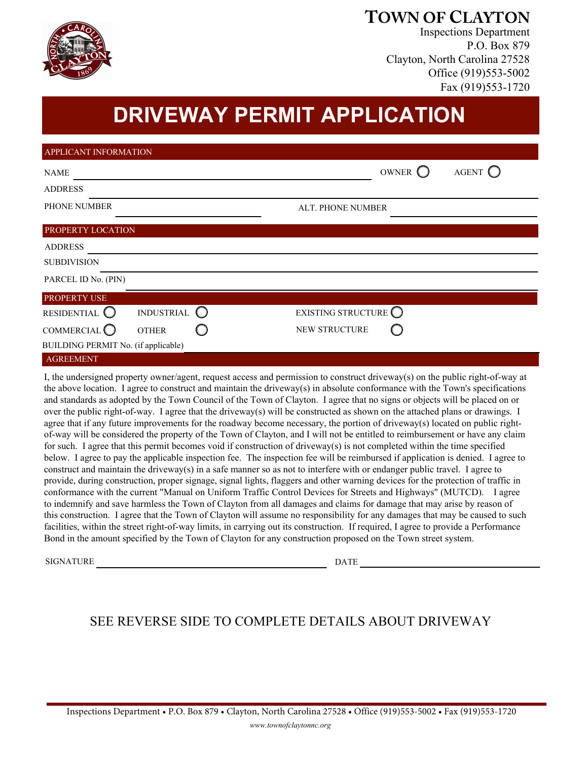

## **TOWN OF CLAYTON**

Inspections Department P.O. Box 879 Clayton, North Carolina 27528 Office (919)553-5002 Fax (919)553-1720

## **DRIVEWAY PERMIT APPLICATION**

| APPLICANT INFORMATION                   |                             |  |  |
|-----------------------------------------|-----------------------------|--|--|
| <b>NAME</b>                             | AGENT $\bigcirc$<br>OWNER C |  |  |
| <b>ADDRESS</b>                          |                             |  |  |
| PHONE NUMBER                            | <b>ALT. PHONE NUMBER</b>    |  |  |
| PROPERTY LOCATION                       |                             |  |  |
| <b>ADDRESS</b>                          |                             |  |  |
| <b>SUBDIVISION</b>                      |                             |  |  |
| PARCEL ID No. (PIN)                     |                             |  |  |
| PROPERTY USE                            |                             |  |  |
| <b>INDUSTRIAL</b><br>RESIDENTIAL O      | EXISTING STRUCTURE          |  |  |
| COMMERCIAL <sup>O</sup><br><b>OTHER</b> | NEW STRUCTURE               |  |  |
| BUILDING PERMIT No. (if applicable)     |                             |  |  |
| <b>AGREEMENT</b>                        |                             |  |  |

and standards as adopted by the Town Council of the Town of Clayton. I agree that no signs or objects will be placed on or over the public right-of-way. I agree that the driveway(s) will be constructed as shown on the attached plans or drawings. I agree that if any future improvements for the roadway become necessary, the portion of driveway(s) located on public rightof-way will be considered the property of the Town of Clayton, and I will not be entitled to reimbursement or have any claim for such. I agree that this permit becomes void if construction of driveway(s) is not completed within the time specified construct and maintain the driveway(s) in a safe manner so as not to interfere with or endanger public travel. I agree to I, the undersigned property owner/agent, request access and permission to construct driveway(s) on the public right-of-way at the above location. I agree to construct and maintain the driveway(s) in absolute conformance with the Town's specifications below. I agree to pay the applicable inspection fee. The inspection fee will be reimbursed if application is denied. I agree to provide, during construction, proper signage, signal lights, flaggers and other warning devices for the protection of traffic in conformance with the current "Manual on Uniform Traffic Control Devices for Streets and Highways" (MUTCD). I agree to indemnify and save harmless the Town of Clayton from all damages and claims for damage that may arise by reason of this construction. I agree that the Town of Clayton will assume no responsibility for any damages that may be caused to such facilities, within the street right-of-way limits, in carrying out its construction. If required, I agree to provide a Performance Bond in the amount specified by the Town of Clayton for any construction proposed on the Town street system.

SIGNATURE DATE

## SEE REVERSE SIDE TO COMPLETE DETAILS ABOUT DRIVEWAY